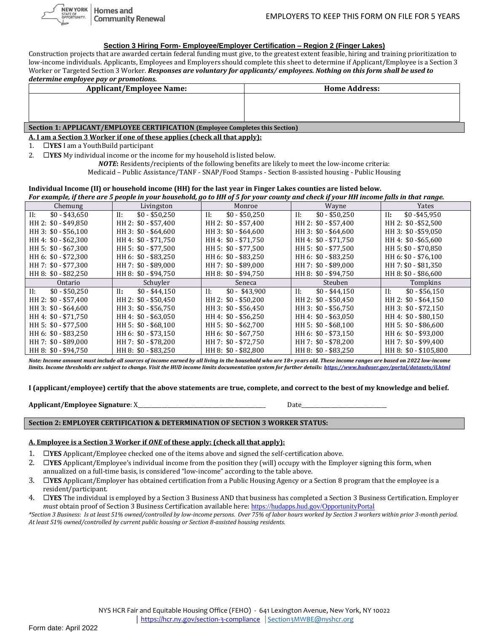#### **Section 3 Hiring Form- Employee/Employer Certification – Region 2 (Finger Lakes)**

Construction projects that are awarded certain federal funding must give, to the greatest extent feasible, hiring and training prioritization to low-income individuals. Applicants, Employees and Employers should complete this sheet to determine if Applicant/Employee is a Section 3 Worker or Targeted Section 3 Worker. *Responses are voluntary for applicants/ employees. Nothing on this form shall be used to determine employee pay or promotions.*

| <u>actornance</u> chipto fee put of promotions.                               |                      |  |  |  |
|-------------------------------------------------------------------------------|----------------------|--|--|--|
| <b>Applicant/Employee Name:</b>                                               | <b>Home Address:</b> |  |  |  |
|                                                                               |                      |  |  |  |
|                                                                               |                      |  |  |  |
|                                                                               |                      |  |  |  |
|                                                                               |                      |  |  |  |
| Section 1: APPLICANT/EMPLOYEE CERTIFICATION (Employee Completes this Section) |                      |  |  |  |
|                                                                               |                      |  |  |  |

#### **A. I am a Section 3 Worker if one of these applies (check all that apply):**

1. **YES** I am a YouthBuild participant

2. **YES** My individual income or the income for my household is listed below.

*NOTE***:** Residents/recipients of the following benefits are likely to meet the low-income criteria: Medicaid – Public Assistance/TANF - SNAP/Food Stamps - Section 8-assisted housing - Public Housing

## **Individual Income (II) or household income (HH) for the last year in Finger Lakes counties are listed below.**

For example, if there are 5 people in your household, go to HH of 5 for your county and check if your HH income falls in that range.

| Chemung               | Livingston            | Monroe                    | Wayne                 | Yates                 |
|-----------------------|-----------------------|---------------------------|-----------------------|-----------------------|
| II:<br>$$0 - $43,650$ | $$0 - $50,250$<br>II: | $$0 - $50,250$<br>II:     | $$0 - $50,250$<br>II: | $$0 - $45,950$<br>II: |
| HH 2: \$0 - \$49,850  | HH 2: \$0 - \$57,400  | HH 2: \$0 - \$57,400      | HH 2: \$0 - \$57,400  | HH 2: \$0 - \$52,500  |
| HH 3: \$0 - \$56,100  | HH 3: \$0 - \$64,600  | HH 3: \$0 - \$64,600      | HH 3: \$0 - \$64,600  | HH 3: \$0 - \$59,050  |
| HH 4: \$0 - \$62,300  | HH 4: \$0 - \$71,750  | HH 4: \$0 - \$71.750      | HH 4: \$0 - \$71.750  | HH 4: \$0 - \$65,600  |
| HH 5: \$0 - \$67,300  | HH 5: \$0 - \$77,500  | HH 5: \$0 - \$77,500      | HH 5: \$0 - \$77,500  | HH 5: \$0 - \$70,850  |
| HH 6: \$0 - \$72,300  | HH 6: \$0 - \$83.250  | HH 6: \$0 - \$83.250      | HH 6: \$0 - \$83,250  | HH 6: \$0 - \$76,100  |
| HH 7: \$0 - \$77,300  | HH 7: \$0 - \$89,000  | HH 7: \$0 - \$89,000      | HH 7: \$0 - \$89,000  | HH 7: \$0 - \$81,350  |
| HH 8: \$0 - \$82,250  | HH 8: \$0 - \$94,750  | HH 8: \$0 - \$94.750      | HH 8: \$0 - \$94,750  | HH 8: \$0 - \$86,600  |
| Ontario               | Schuvler              | Seneca                    | Steuben               | Tompkins              |
| $$0 - $50,250$<br>H:  | $$0 - $44.150$<br>II: | $$0 - $43,900$<br>$\Pi$ : | $$0 - $44,150$<br>II: | $$0 - $56,150$<br>II: |
| HH 2: \$0 - \$57,400  | HH 2: \$0 - \$50,450  | $HH2: $0 - $50,200$       | HH 2: \$0 - \$50,450  | HH 2: \$0 - \$64,150  |
| HH 3: \$0 - \$64,600  | HH 3: \$0 - \$56.750  | HH 3: \$0 - \$56,450      | HH 3: \$0 - \$56.750  | HH 3: \$0 - \$72,150  |
| HH 4: \$0 - \$71,750  | HH 4: \$0 - \$63,050  | HH 4: \$0 - \$56,250      | HH 4: \$0 - \$63,050  | HH 4: \$0 - \$80,150  |
| HH 5: \$0 - \$77,500  | HH 5: \$0 - \$68,100  | HH 5: \$0 - \$62,700      | HH 5: \$0 - \$68,100  | HH 5: \$0 - \$86,600  |
| HH 6: \$0 - \$83,250  | HH 6: \$0 - \$73,150  | HH 6: \$0 - \$67,750      | HH 6: \$0 - \$73,150  | HH 6: \$0 - \$93,000  |
| HH 7: \$0 - \$89,000  | HH 7: \$0 - \$78,200  | HH 7: \$0 - \$72,750      | HH 7: \$0 - \$78,200  | HH 7: \$0 - \$99,400  |
| HH 8: \$0 - \$94,750  | HH 8: \$0 - \$83,250  | HH 8: \$0 - \$82,800      | HH 8: \$0 - \$83,250  | HH 8: \$0 - \$105,800 |

*Note: Income amount must include all sources of income earned by all living in the household who are 18+ years old. These income ranges are based on 2022 low-income limits. Income thresholds are subject to change. Visit the HUD income limits documentation system for further details: <https://www.huduser.gov/portal/datasets/il.html>*

**I (applicant/employee) certify that the above statements are true, complete, and correct to the best of my knowledge and belief.** 

| Applicant/Emplovee Signature: X |  |
|---------------------------------|--|
|                                 |  |

#### **Section 2: EMPLOYER CERTIFICATION & DETERMINATION OF SECTION 3 WORKER STATUS:**

### **A. Employee is a Section 3 Worker if** *ONE* **of these apply: (check all that apply):**

- 1. **YES** Applicant/Employee checked one of the items above and signed the self-certification above.
- 2. **IVES** Applicant/Employee's individual income from the position they (will) occupy with the Employer signing this form, when annualized on a full-time basis, is considered "low-income" according to the table above.
- 3. **YES** Applicant/Employer has obtained certification from a Public Housing Agency or a Section 8 program that the employee is a resident/participant.
- 4. **YES** The individual is employed by a Section 3 Business AND that business has completed a Section 3 Business Certification. Employer *must* obtain proof of Section 3 Business Certification available here: [https://hudapps.hud.gov/OpportunityPortal](https://hudapps.hud.gov/OpportunityPortal/)

*\*Section 3 Business: Is at least 51% owned/controlled by low-income persons. Over 75% of labor hours worked by Section 3 workers within prior 3-month period. At least 51% owned/controlled by current public housing or Section 8-assisted housing residents.*